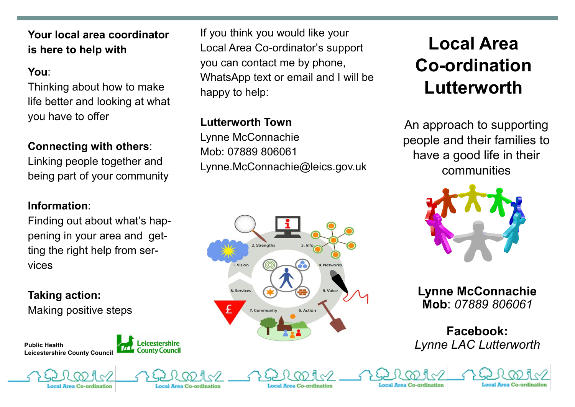**Your local area coordinator is here to help with** 

#### **You**:

Thinking about how to make life better and looking at what you have to offer

## **Connecting with others**:

Linking people together and being part of your community

#### **Information**:

Finding out about what's happening in your area and getting the right help from services

**Taking action:**  Making positive steps

**Public Health Leicestershire County Council** 





#### **Lutterworth Town**

Lynne McConnachie Mob: 07889 806061 Lynne.McConnachie@leics.gov.uk



al Area Co-ordination

# **Local Area Co-ordination Lutterworth**

An approach to supporting people and their families to have a good life in their communities



**Lynne McConnachie Mob**: *07889 806061* 

# **Facebook:**  *Lynne LAC Lutterworth*

Local Area Co-ordination